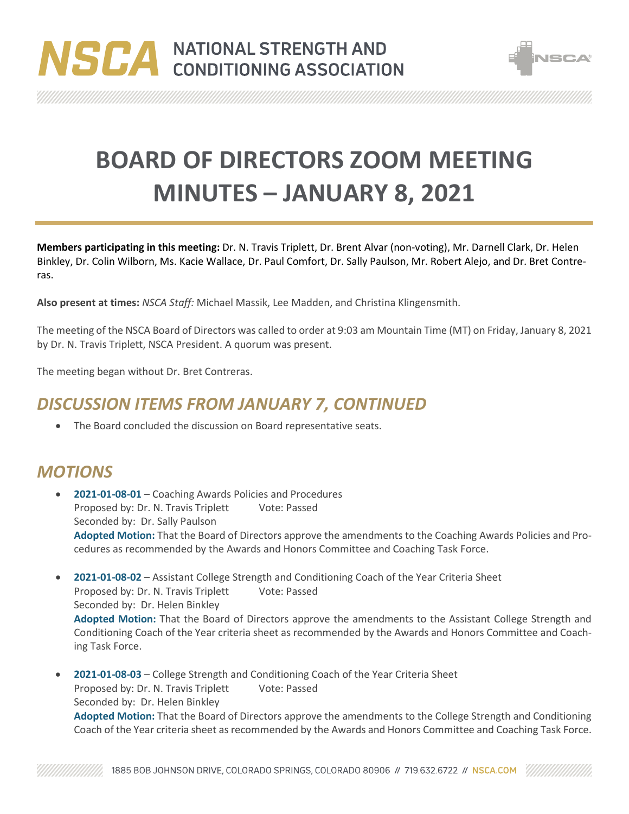



**BOARD OF DIRECTORS ZOOM MEETING MINUTES – JANUARY 8, 2021**

**Members participating in this meeting:** Dr. N. Travis Triplett, Dr. Brent Alvar (non-voting), Mr. Darnell Clark, Dr. Helen Binkley, Dr. Colin Wilborn, Ms. Kacie Wallace, Dr. Paul Comfort, Dr. Sally Paulson, Mr. Robert Alejo, and Dr. Bret Contreras.

**Also present at times:** *NSCA Staff:* Michael Massik, Lee Madden, and Christina Klingensmith.

The meeting of the NSCA Board of Directors was called to order at 9:03 am Mountain Time (MT) on Friday, January 8, 2021 by Dr. N. Travis Triplett, NSCA President. A quorum was present.

The meeting began without Dr. Bret Contreras.

## *DISCUSSION ITEMS FROM JANUARY 7, CONTINUED*

The Board concluded the discussion on Board representative seats.

## *MOTIONS*

- **2021-01-08-01** Coaching Awards Policies and Procedures Proposed by: Dr. N. Travis Triplett Vote: Passed Seconded by: Dr. Sally Paulson **Adopted Motion:** That the Board of Directors approve the amendments to the Coaching Awards Policies and Procedures as recommended by the Awards and Honors Committee and Coaching Task Force.
- **2021-01-08-02** Assistant College Strength and Conditioning Coach of the Year Criteria Sheet Proposed by: Dr. N. Travis Triplett Vote: Passed Seconded by: Dr. Helen Binkley **Adopted Motion:** That the Board of Directors approve the amendments to the Assistant College Strength and Conditioning Coach of the Year criteria sheet as recommended by the Awards and Honors Committee and Coaching Task Force.
- **2021-01-08-03** College Strength and Conditioning Coach of the Year Criteria Sheet Proposed by: Dr. N. Travis Triplett Vote: Passed Seconded by: Dr. Helen Binkley **Adopted Motion:** That the Board of Directors approve the amendments to the College Strength and Conditioning Coach of the Year criteria sheet as recommended by the Awards and Honors Committee and Coaching Task Force.